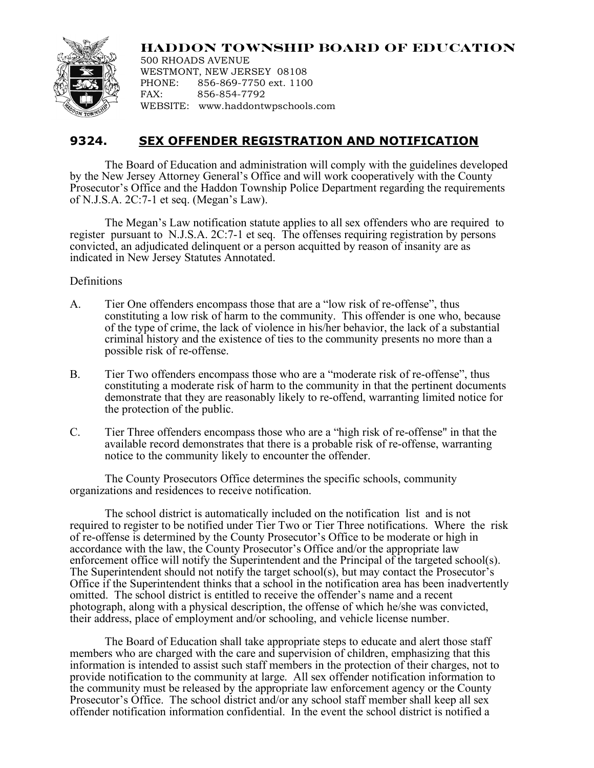## **HADDON TOWNSHIP BOARD OF EDUCATION**



500 RHOADS AVENUE WESTMONT, NEW JERSEY 08108 PHONE: 856-869-7750 ext. 1100 FAX: 856-854-7792 WEBSITE: www.haddontwpschools.com

## **9324. SEX OFFENDER REGISTRATION AND NOTIFICATION**

The Board of Education and administration will comply with the guidelines developed by the New Jersey Attorney General's Office and will work cooperatively with the County Prosecutor's Office and the Haddon Township Police Department regarding the requirements of N.J.S.A. 2C:7-1 et seq. (Megan's Law).

The Megan's Law notification statute applies to all sex offenders who are required to register pursuant to N.J.S.A. 2C:7-1 et seq. The offenses requiring registration by persons convicted, an adjudicated delinquent or a person acquitted by reason of insanity are as indicated in New Jersey Statutes Annotated.

## Definitions

- A. Tier One offenders encompass those that are a "low risk of re-offense", thus constituting a low risk of harm to the community. This offender is one who, because of the type of crime, the lack of violence in his/her behavior, the lack of a substantial criminal history and the existence of ties to the community presents no more than a possible risk of re-offense.
- B. Tier Two offenders encompass those who are a "moderate risk of re-offense", thus constituting a moderate risk of harm to the community in that the pertinent documents demonstrate that they are reasonably likely to re-offend, warranting limited notice for the protection of the public.
- C. Tier Three offenders encompass those who are a "high risk of re-offense" in that the available record demonstrates that there is a probable risk of re-offense, warranting notice to the community likely to encounter the offender.

The County Prosecutors Office determines the specific schools, community organizations and residences to receive notification.

The school district is automatically included on the notification list and is not required to register to be notified under Tier Two or Tier Three notifications. Where the risk of re-offense is determined by the County Prosecutor's Office to be moderate or high in accordance with the law, the County Prosecutor's Office and/or the appropriate law enforcement office will notify the Superintendent and the Principal of the targeted school(s). The Superintendent should not notify the target school(s), but may contact the Prosecutor's Office if the Superintendent thinks that a school in the notification area has been inadvertently omitted. The school district is entitled to receive the offender's name and a recent photograph, along with a physical description, the offense of which he/she was convicted, their address, place of employment and/or schooling, and vehicle license number.

The Board of Education shall take appropriate steps to educate and alert those staff members who are charged with the care and supervision of children, emphasizing that this information is intended to assist such staff members in the protection of their charges, not to provide notification to the community at large. All sex offender notification information to the community must be released by the appropriate law enforcement agency or the County Prosecutor's Office. The school district and/or any school staff member shall keep all sex offender notification information confidential. In the event the school district is notified a